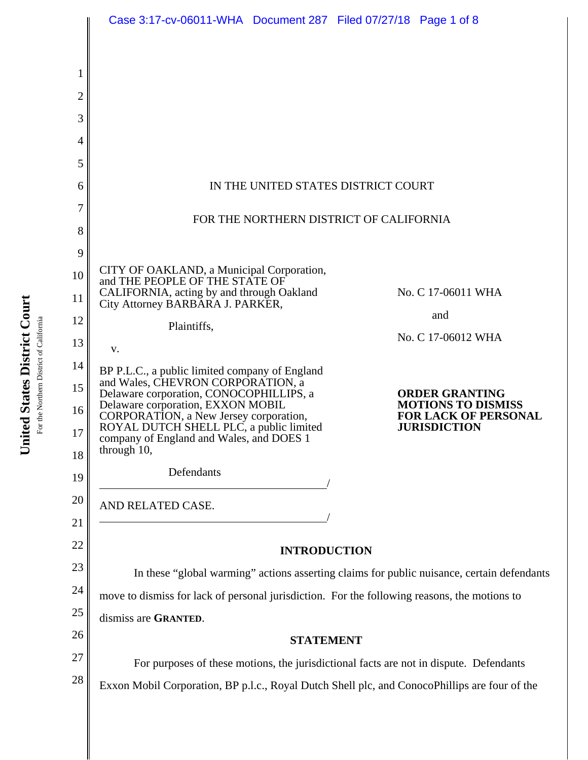|                | Case 3:17-cv-06011-WHA Document 287 Filed 07/27/18 Page 1 of 8                                                         |                                                          |
|----------------|------------------------------------------------------------------------------------------------------------------------|----------------------------------------------------------|
|                |                                                                                                                        |                                                          |
|                |                                                                                                                        |                                                          |
| 1              |                                                                                                                        |                                                          |
| $\overline{c}$ |                                                                                                                        |                                                          |
| 3              |                                                                                                                        |                                                          |
| 4              |                                                                                                                        |                                                          |
| 5              |                                                                                                                        |                                                          |
| 6              | IN THE UNITED STATES DISTRICT COURT                                                                                    |                                                          |
| 7              | FOR THE NORTHERN DISTRICT OF CALIFORNIA                                                                                |                                                          |
| 8              |                                                                                                                        |                                                          |
| 9              |                                                                                                                        |                                                          |
| 10             | CITY OF OAKLAND, a Municipal Corporation,<br>and THE PEOPLE OF THE STATE OF                                            |                                                          |
| 11             | CALIFORNIA, acting by and through Oakland<br>City Attorney BARBARA J. PARKER,                                          | No. C 17-06011 WHA                                       |
| 12             | Plaintiffs,                                                                                                            | and                                                      |
| 13             | V.                                                                                                                     | No. C 17-06012 WHA                                       |
| 14             | BP P.L.C., a public limited company of England                                                                         |                                                          |
| 15             | and Wales, CHEVRON CORPORATION, a<br>Delaware corporation, CONOCOPHILLIPS, a                                           | <b>ORDER GRANTING</b>                                    |
| 16             | Delaware corporation, EXXON MOBIL<br>CORPORATION, a New Jersey corporation,<br>ROYAL DUTCH SHELL PLC, a public limited | <b>MOTIONS TO DISMISS</b><br><b>FOR LACK OF PERSONAL</b> |
| 17             | company of England and Wales, and DOES 1                                                                               | <b>JURISDICTION</b>                                      |
| 18             | through $10$ ,                                                                                                         |                                                          |
| 19             | Defendants                                                                                                             |                                                          |
| 20             | AND RELATED CASE.                                                                                                      |                                                          |
| 21             |                                                                                                                        |                                                          |
| 22             | <b>INTRODUCTION</b>                                                                                                    |                                                          |
| 23             | In these "global warming" actions asserting claims for public nuisance, certain defendants                             |                                                          |
| 24             | move to dismiss for lack of personal jurisdiction. For the following reasons, the motions to                           |                                                          |
| 25             | dismiss are GRANTED.                                                                                                   |                                                          |
| 26             | <b>STATEMENT</b>                                                                                                       |                                                          |
| 27             | For purposes of these motions, the jurisdictional facts are not in dispute. Defendants                                 |                                                          |
| 28             | Exxon Mobil Corporation, BP p.l.c., Royal Dutch Shell plc, and ConocoPhillips are four of the                          |                                                          |
|                |                                                                                                                        |                                                          |

United States District Court **United States District Court** For the Northern District of California For the Northern District of California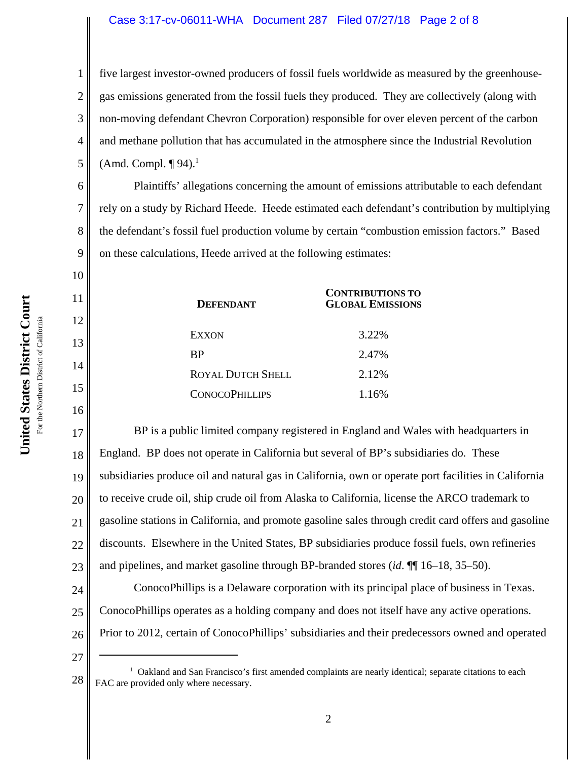# Case 3:17-cv-06011-WHA Document 287 Filed 07/27/18 Page 2 of 8

five largest investor-owned producers of fossil fuels worldwide as measured by the greenhousegas emissions generated from the fossil fuels they produced. They are collectively (along with non-moving defendant Chevron Corporation) responsible for over eleven percent of the carbon and methane pollution that has accumulated in the atmosphere since the Industrial Revolution (Amd. Compl.  $\P$ 94).<sup>1</sup>

Plaintiffs' allegations concerning the amount of emissions attributable to each defendant rely on a study by Richard Heede. Heede estimated each defendant's contribution by multiplying the defendant's fossil fuel production volume by certain "combustion emission factors." Based on these calculations, Heede arrived at the following estimates:

| <b>DEFENDANT</b>         | <b>CONTRIBUTIONS TO</b><br><b>GLOBAL EMISSIONS</b> |
|--------------------------|----------------------------------------------------|
| EXXON                    | 3.22%                                              |
| <b>BP</b>                | 2.47%                                              |
| <b>ROYAL DUTCH SHELL</b> | 2.12%                                              |
| <b>CONOCOPHILLIPS</b>    | 1.16%                                              |

17 18 19 20 21 22 23 24 BP is a public limited company registered in England and Wales with headquarters in England. BP does not operate in California but several of BP's subsidiaries do. These subsidiaries produce oil and natural gas in California, own or operate port facilities in California to receive crude oil, ship crude oil from Alaska to California, license the ARCO trademark to gasoline stations in California, and promote gasoline sales through credit card offers and gasoline discounts. Elsewhere in the United States, BP subsidiaries produce fossil fuels, own refineries and pipelines, and market gasoline through BP-branded stores (*id*. ¶¶ 16–18, 35–50). ConocoPhillips is a Delaware corporation with its principal place of business in Texas.

ConocoPhillips operates as a holding company and does not itself have any active operations.

Prior to 2012, certain of ConocoPhillips' subsidiaries and their predecessors owned and operated

26 27

25

1

2

3

4

5

6

7

8

9

10

11

12

13

14

15

<sup>28</sup> <sup>1</sup> Oakland and San Francisco's first amended complaints are nearly identical; separate citations to each FAC are provided only where necessary.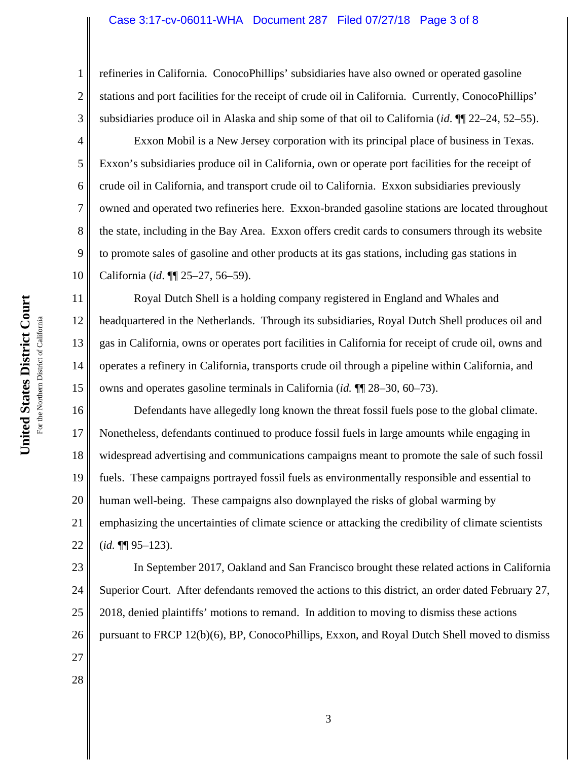### Case 3:17-cv-06011-WHA Document 287 Filed 07/27/18 Page 3 of 8

refineries in California. ConocoPhillips' subsidiaries have also owned or operated gasoline stations and port facilities for the receipt of crude oil in California. Currently, ConocoPhillips' subsidiaries produce oil in Alaska and ship some of that oil to California (*id*. ¶¶ 22–24, 52–55).

Exxon Mobil is a New Jersey corporation with its principal place of business in Texas. Exxon's subsidiaries produce oil in California, own or operate port facilities for the receipt of crude oil in California, and transport crude oil to California. Exxon subsidiaries previously owned and operated two refineries here. Exxon-branded gasoline stations are located throughout the state, including in the Bay Area. Exxon offers credit cards to consumers through its website to promote sales of gasoline and other products at its gas stations, including gas stations in California (*id*. ¶¶ 25–27, 56–59).

Royal Dutch Shell is a holding company registered in England and Whales and headquartered in the Netherlands. Through its subsidiaries, Royal Dutch Shell produces oil and gas in California, owns or operates port facilities in California for receipt of crude oil, owns and operates a refinery in California, transports crude oil through a pipeline within California, and owns and operates gasoline terminals in California (*id.* ¶¶ 28–30, 60–73).

16 17 18 19 20 21 22 Defendants have allegedly long known the threat fossil fuels pose to the global climate. Nonetheless, defendants continued to produce fossil fuels in large amounts while engaging in widespread advertising and communications campaigns meant to promote the sale of such fossil fuels. These campaigns portrayed fossil fuels as environmentally responsible and essential to human well-being. These campaigns also downplayed the risks of global warming by emphasizing the uncertainties of climate science or attacking the credibility of climate scientists (*id.* ¶¶ 95–123).

23 24 25 26 In September 2017, Oakland and San Francisco brought these related actions in California Superior Court. After defendants removed the actions to this district, an order dated February 27, 2018, denied plaintiffs' motions to remand. In addition to moving to dismiss these actions pursuant to FRCP 12(b)(6), BP, ConocoPhillips, Exxon, and Royal Dutch Shell moved to dismiss

United States District Court **United States District Court** For the Northern District of California For the Northern District of California 1

2

3

4

5

6

7

8

9

10

11

12

13

14

15

27

28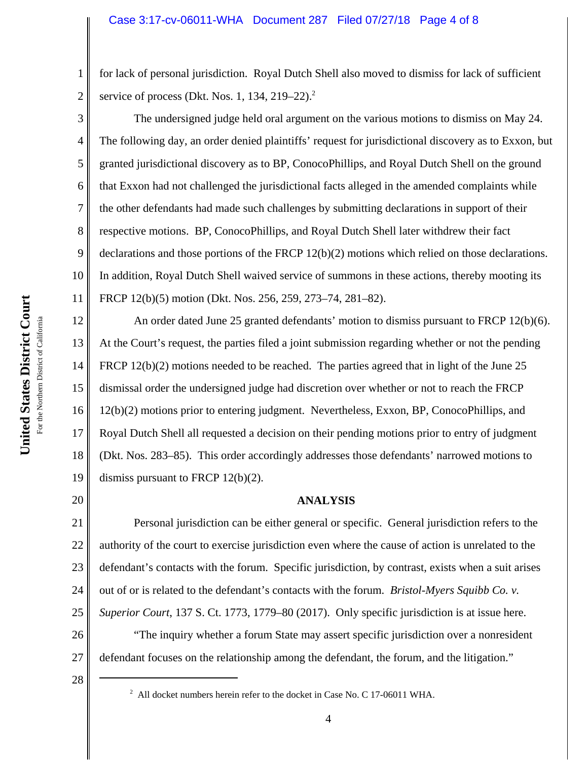for lack of personal jurisdiction. Royal Dutch Shell also moved to dismiss for lack of sufficient service of process (Dkt. Nos. 1, 134, 219–22). $^2$ 

The undersigned judge held oral argument on the various motions to dismiss on May 24. The following day, an order denied plaintiffs' request for jurisdictional discovery as to Exxon, but granted jurisdictional discovery as to BP, ConocoPhillips, and Royal Dutch Shell on the ground that Exxon had not challenged the jurisdictional facts alleged in the amended complaints while the other defendants had made such challenges by submitting declarations in support of their respective motions. BP, ConocoPhillips, and Royal Dutch Shell later withdrew their fact declarations and those portions of the FRCP 12(b)(2) motions which relied on those declarations. In addition, Royal Dutch Shell waived service of summons in these actions, thereby mooting its FRCP 12(b)(5) motion (Dkt. Nos. 256, 259, 273–74, 281–82).

12 13 14 15 16 17 18 19 An order dated June 25 granted defendants' motion to dismiss pursuant to FRCP 12(b)(6). At the Court's request, the parties filed a joint submission regarding whether or not the pending FRCP 12(b)(2) motions needed to be reached. The parties agreed that in light of the June 25 dismissal order the undersigned judge had discretion over whether or not to reach the FRCP 12(b)(2) motions prior to entering judgment. Nevertheless, Exxon, BP, ConocoPhillips, and Royal Dutch Shell all requested a decision on their pending motions prior to entry of judgment (Dkt. Nos. 283–85). This order accordingly addresses those defendants' narrowed motions to dismiss pursuant to FRCP 12(b)(2).

20

28

1

2

3

4

5

6

7

8

9

10

11

# **ANALYSIS**

21 22 23 24 25 Personal jurisdiction can be either general or specific. General jurisdiction refers to the authority of the court to exercise jurisdiction even where the cause of action is unrelated to the defendant's contacts with the forum. Specific jurisdiction, by contrast, exists when a suit arises out of or is related to the defendant's contacts with the forum. *Bristol-Myers Squibb Co. v. Superior Court*, 137 S. Ct. 1773, 1779–80 (2017). Only specific jurisdiction is at issue here.

26 27 "The inquiry whether a forum State may assert specific jurisdiction over a nonresident defendant focuses on the relationship among the defendant, the forum, and the litigation."

 $^2$  All docket numbers herein refer to the docket in Case No. C 17-06011 WHA.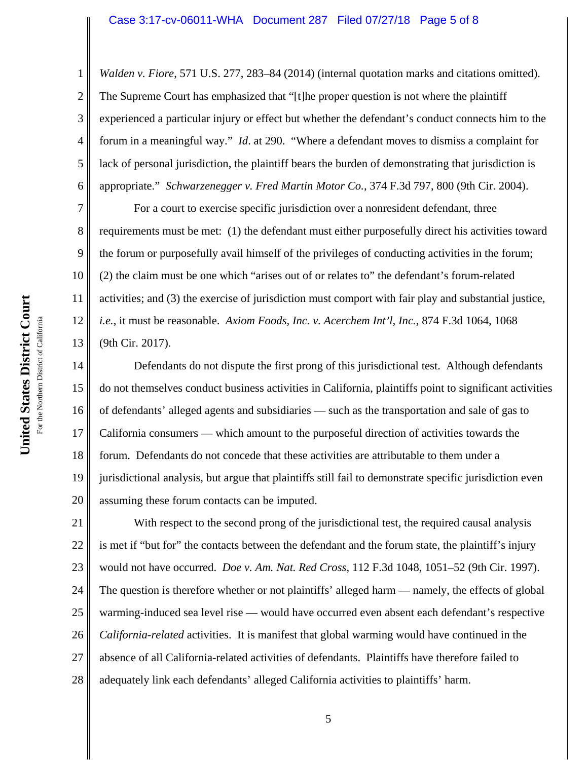#### Case 3:17-cv-06011-WHA Document 287 Filed 07/27/18 Page 5 of 8

3 4 6 *Walden v. Fiore*, 571 U.S. 277, 283–84 (2014) (internal quotation marks and citations omitted). The Supreme Court has emphasized that "[t]he proper question is not where the plaintiff experienced a particular injury or effect but whether the defendant's conduct connects him to the forum in a meaningful way." *Id*. at 290. "Where a defendant moves to dismiss a complaint for lack of personal jurisdiction, the plaintiff bears the burden of demonstrating that jurisdiction is appropriate." *Schwarzenegger v. Fred Martin Motor Co.*, 374 F.3d 797, 800 (9th Cir. 2004).

7 8 9 10 11 12 13 For a court to exercise specific jurisdiction over a nonresident defendant, three requirements must be met: (1) the defendant must either purposefully direct his activities toward the forum or purposefully avail himself of the privileges of conducting activities in the forum; (2) the claim must be one which "arises out of or relates to" the defendant's forum-related activities; and (3) the exercise of jurisdiction must comport with fair play and substantial justice, *i.e.*, it must be reasonable. *Axiom Foods, Inc. v. Acerchem Int'l, Inc.*, 874 F.3d 1064, 1068 (9th Cir. 2017).

14 15 16 17 18 19 20 Defendants do not dispute the first prong of this jurisdictional test. Although defendants do not themselves conduct business activities in California, plaintiffs point to significant activities of defendants' alleged agents and subsidiaries — such as the transportation and sale of gas to California consumers — which amount to the purposeful direction of activities towards the forum. Defendants do not concede that these activities are attributable to them under a jurisdictional analysis, but argue that plaintiffs still fail to demonstrate specific jurisdiction even assuming these forum contacts can be imputed.

21 22 23 24 25 26 27 28 With respect to the second prong of the jurisdictional test, the required causal analysis is met if "but for" the contacts between the defendant and the forum state, the plaintiff's injury would not have occurred. *Doe v. Am. Nat. Red Cross*, 112 F.3d 1048, 1051–52 (9th Cir. 1997). The question is therefore whether or not plaintiffs' alleged harm — namely, the effects of global warming-induced sea level rise — would have occurred even absent each defendant's respective *California-related* activities. It is manifest that global warming would have continued in the absence of all California-related activities of defendants. Plaintiffs have therefore failed to adequately link each defendants' alleged California activities to plaintiffs' harm.

1

2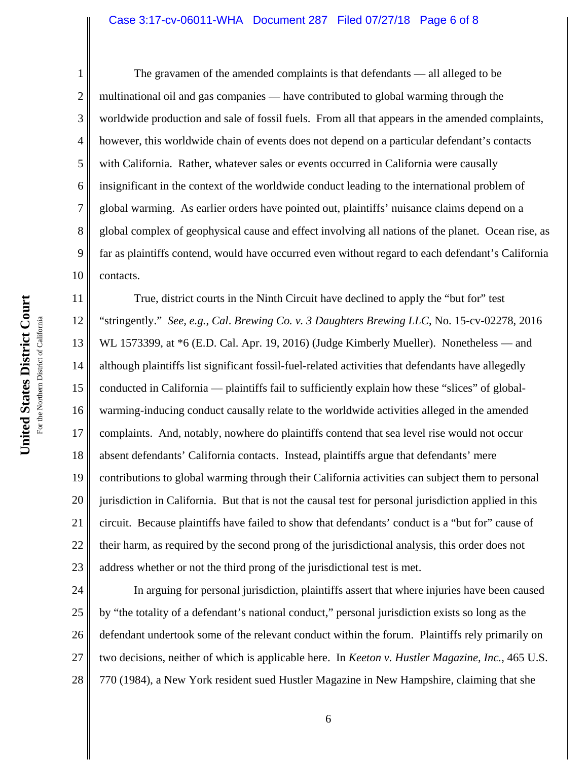#### Case 3:17-cv-06011-WHA Document 287 Filed 07/27/18 Page 6 of 8

1 2 3 4 5 6 7 8 9 10 The gravamen of the amended complaints is that defendants — all alleged to be multinational oil and gas companies — have contributed to global warming through the worldwide production and sale of fossil fuels. From all that appears in the amended complaints, however, this worldwide chain of events does not depend on a particular defendant's contacts with California. Rather, whatever sales or events occurred in California were causally insignificant in the context of the worldwide conduct leading to the international problem of global warming. As earlier orders have pointed out, plaintiffs' nuisance claims depend on a global complex of geophysical cause and effect involving all nations of the planet. Ocean rise, as far as plaintiffs contend, would have occurred even without regard to each defendant's California contacts.

11 12 13 14 15 16 17 18 19 20 21 22 23 True, district courts in the Ninth Circuit have declined to apply the "but for" test "stringently." *See, e.g.*, *Cal*. *Brewing Co. v. 3 Daughters Brewing LLC*, No. 15-cv-02278, 2016 WL 1573399, at  $*6$  (E.D. Cal. Apr. 19, 2016) (Judge Kimberly Mueller). Nonetheless — and although plaintiffs list significant fossil-fuel-related activities that defendants have allegedly conducted in California — plaintiffs fail to sufficiently explain how these "slices" of globalwarming-inducing conduct causally relate to the worldwide activities alleged in the amended complaints. And, notably, nowhere do plaintiffs contend that sea level rise would not occur absent defendants' California contacts. Instead, plaintiffs argue that defendants' mere contributions to global warming through their California activities can subject them to personal jurisdiction in California. But that is not the causal test for personal jurisdiction applied in this circuit. Because plaintiffs have failed to show that defendants' conduct is a "but for" cause of their harm, as required by the second prong of the jurisdictional analysis, this order does not address whether or not the third prong of the jurisdictional test is met.

24 25 26 27 28 In arguing for personal jurisdiction, plaintiffs assert that where injuries have been caused by "the totality of a defendant's national conduct," personal jurisdiction exists so long as the defendant undertook some of the relevant conduct within the forum. Plaintiffs rely primarily on two decisions, neither of which is applicable here. In *Keeton v. Hustler Magazine, Inc.*, 465 U.S. 770 (1984), a New York resident sued Hustler Magazine in New Hampshire, claiming that she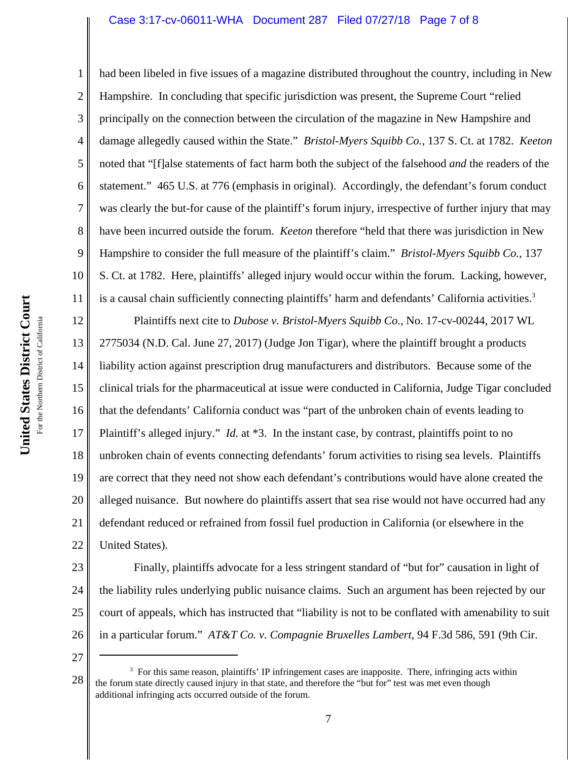## Case 3:17-cv-06011-WHA Document 287 Filed 07/27/18 Page 7 of 8

had been libeled in five issues of a magazine distributed throughout the country, including in New Hampshire. In concluding that specific jurisdiction was present, the Supreme Court "relied principally on the connection between the circulation of the magazine in New Hampshire and damage allegedly caused within the State." *Bristol-Myers Squibb Co.*, 137 S. Ct. at 1782. *Keeton* noted that "[f]alse statements of fact harm both the subject of the falsehood *and* the readers of the statement." 465 U.S. at 776 (emphasis in original). Accordingly, the defendant's forum conduct was clearly the but-for cause of the plaintiff's forum injury, irrespective of further injury that may have been incurred outside the forum. *Keeton* therefore "held that there was jurisdiction in New Hampshire to consider the full measure of the plaintiff's claim." *Bristol-Myers Squibb Co.*, 137 S. Ct. at 1782. Here, plaintiffs' alleged injury would occur within the forum. Lacking, however, is a causal chain sufficiently connecting plaintiffs' harm and defendants' California activities.<sup>3</sup>

12 13 14 15 16 17 18 19 20 21 22 Plaintiffs next cite to *Dubose v. Bristol-Myers Squibb Co.*, No. 17-cv-00244, 2017 WL 2775034 (N.D. Cal. June 27, 2017) (Judge Jon Tigar), where the plaintiff brought a products liability action against prescription drug manufacturers and distributors. Because some of the clinical trials for the pharmaceutical at issue were conducted in California, Judge Tigar concluded that the defendants' California conduct was "part of the unbroken chain of events leading to Plaintiff's alleged injury." *Id.* at \*3. In the instant case, by contrast, plaintiffs point to no unbroken chain of events connecting defendants' forum activities to rising sea levels. Plaintiffs are correct that they need not show each defendant's contributions would have alone created the alleged nuisance. But nowhere do plaintiffs assert that sea rise would not have occurred had any defendant reduced or refrained from fossil fuel production in California (or elsewhere in the United States).

23 24 25 26 Finally, plaintiffs advocate for a less stringent standard of "but for" causation in light of the liability rules underlying public nuisance claims. Such an argument has been rejected by our court of appeals, which has instructed that "liability is not to be conflated with amenability to suit in a particular forum." *AT&T Co. v. Compagnie Bruxelles Lambert*, 94 F.3d 586, 591 (9th Cir.

27

1

2

3

4

5

6

7

8

9

10

<sup>28</sup> <sup>3</sup> For this same reason, plaintiffs' IP infringement cases are inapposite. There, infringing acts within the forum state directly caused injury in that state, and therefore the "but for" test was met even though additional infringing acts occurred outside of the forum.